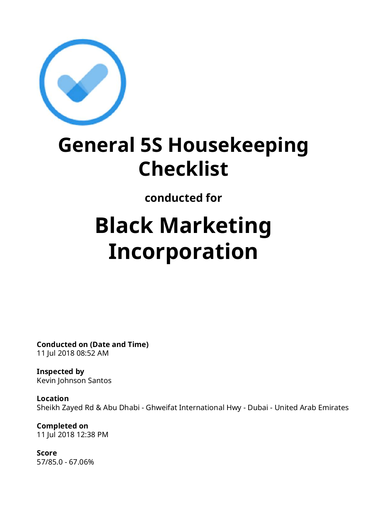

## **General 5S Housekeeping Checklist**

**conducted for**

# **Black Marketing Incorporation**

**Conducted on (Date and Time)** 11 Jul 2018 08:52 AM

**Inspected by** Kevin Johnson Santos

**Location** Sheikh Zayed Rd & Abu Dhabi - Ghweifat International Hwy - Dubai - United Arab Emirates

**Completed on** 11 Jul 2018 12:38 PM

**Score** 57/85.0 - 67.06%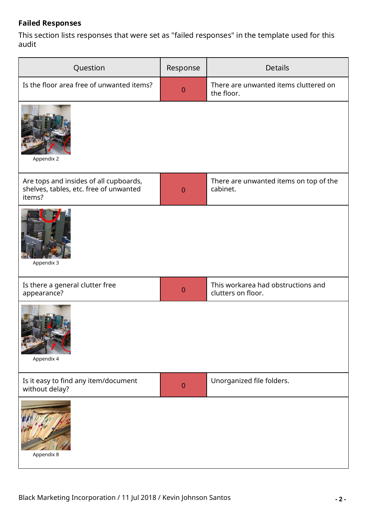#### **Failed Responses**

This section lists responses that were set as "failed responses" in the template used for this audit

| Question                                                                                   | Response       | <b>Details</b>                                           |  |
|--------------------------------------------------------------------------------------------|----------------|----------------------------------------------------------|--|
| Is the floor area free of unwanted items?                                                  | $\theta$       | There are unwanted items cluttered on<br>the floor.      |  |
| Appendix 2                                                                                 |                |                                                          |  |
| Are tops and insides of all cupboards,<br>shelves, tables, etc. free of unwanted<br>items? | $\overline{0}$ | There are unwanted items on top of the<br>cabinet.       |  |
| Appendix 3                                                                                 |                |                                                          |  |
| Is there a general clutter free<br>appearance?                                             | $\theta$       | This workarea had obstructions and<br>clutters on floor. |  |
| Appendix 4                                                                                 |                |                                                          |  |
| Is it easy to find any item/document<br>without delay?                                     | $\mathbf{0}$   | Unorganized file folders.                                |  |
| Appendix 8                                                                                 |                |                                                          |  |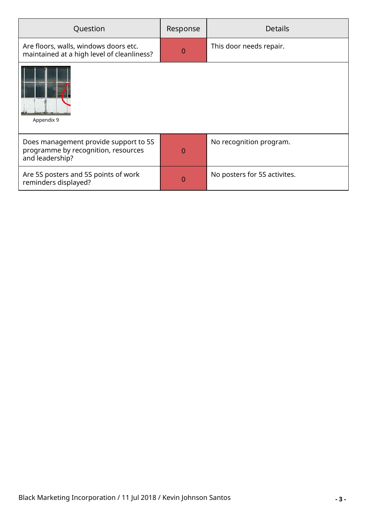| Question                                                                                        | Response | <b>Details</b>               |  |
|-------------------------------------------------------------------------------------------------|----------|------------------------------|--|
| Are floors, walls, windows doors etc.<br>maintained at a high level of cleanliness?             | $\Omega$ | This door needs repair.      |  |
| Appendix 9                                                                                      |          |                              |  |
| Does management provide support to 5S<br>programme by recognition, resources<br>and leadership? | O        | No recognition program.      |  |
| Are 5S posters and 5S points of work<br>reminders displayed?                                    | O        | No posters for 5S activites. |  |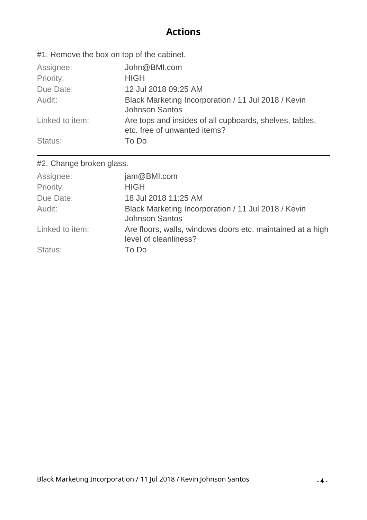#### **Actions**

#1. Remove the box on top of the cabinet.

| Assignee:       | John@BMI.com                                                                            |
|-----------------|-----------------------------------------------------------------------------------------|
| Priority:       | <b>HIGH</b>                                                                             |
| Due Date:       | 12 Jul 2018 09:25 AM                                                                    |
| Audit:          | Black Marketing Incorporation / 11 Jul 2018 / Kevin<br><b>Johnson Santos</b>            |
| Linked to item: | Are tops and insides of all cupboards, shelves, tables,<br>etc. free of unwanted items? |
| Status:         | To Do                                                                                   |

#2. Change broken glass.

| Assignee:       | jam@BMI.com                                                                         |
|-----------------|-------------------------------------------------------------------------------------|
| Priority:       | <b>HIGH</b>                                                                         |
| Due Date:       | 18 Jul 2018 11:25 AM                                                                |
| Audit:          | Black Marketing Incorporation / 11 Jul 2018 / Kevin<br><b>Johnson Santos</b>        |
| Linked to item: | Are floors, walls, windows doors etc. maintained at a high<br>level of cleanliness? |
| Status:         | To Do                                                                               |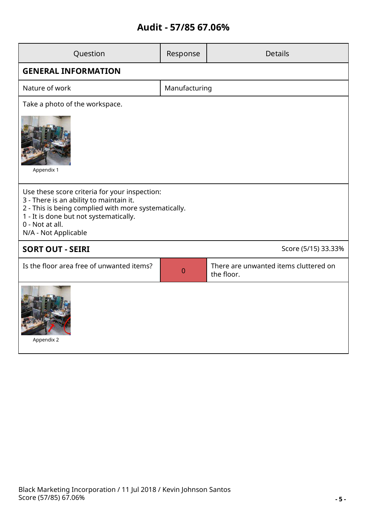#### **Audit - 57/85 67.06%**

| Question                                                                                                                                                                                                                              | Response       | <b>Details</b>                                      |  |  |  |
|---------------------------------------------------------------------------------------------------------------------------------------------------------------------------------------------------------------------------------------|----------------|-----------------------------------------------------|--|--|--|
| <b>GENERAL INFORMATION</b>                                                                                                                                                                                                            |                |                                                     |  |  |  |
| Nature of work                                                                                                                                                                                                                        | Manufacturing  |                                                     |  |  |  |
| Take a photo of the workspace.                                                                                                                                                                                                        |                |                                                     |  |  |  |
| Appendix 1                                                                                                                                                                                                                            |                |                                                     |  |  |  |
| Use these score criteria for your inspection:<br>3 - There is an ability to maintain it.<br>2 - This is being complied with more systematically.<br>1 - It is done but not systematically.<br>0 - Not at all.<br>N/A - Not Applicable |                |                                                     |  |  |  |
| <b>SORT OUT - SEIRI</b>                                                                                                                                                                                                               |                | Score (5/15) 33.33%                                 |  |  |  |
| Is the floor area free of unwanted items?                                                                                                                                                                                             | $\overline{0}$ | There are unwanted items cluttered on<br>the floor. |  |  |  |
| Appendix 2                                                                                                                                                                                                                            |                |                                                     |  |  |  |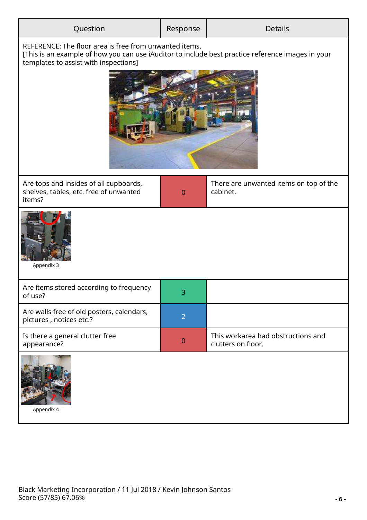| Question                                                                                                                                                                                             | Response       | <b>Details</b>                                           |  |  |
|------------------------------------------------------------------------------------------------------------------------------------------------------------------------------------------------------|----------------|----------------------------------------------------------|--|--|
| REFERENCE: The floor area is free from unwanted items.<br>[This is an example of how you can use iAuditor to include best practice reference images in your<br>templates to assist with inspections] |                |                                                          |  |  |
| Are tops and insides of all cupboards,<br>shelves, tables, etc. free of unwanted<br>items?                                                                                                           | $\theta$       | There are unwanted items on top of the<br>cabinet.       |  |  |
| Appendix 3                                                                                                                                                                                           |                |                                                          |  |  |
| Are items stored according to frequency<br>of use?                                                                                                                                                   | 3              |                                                          |  |  |
| Are walls free of old posters, calendars,<br>pictures, notices etc.?                                                                                                                                 | $\overline{2}$ |                                                          |  |  |
| Is there a general clutter free<br>appearance?                                                                                                                                                       | $\theta$       | This workarea had obstructions and<br>clutters on floor. |  |  |
| Appendix 4                                                                                                                                                                                           |                |                                                          |  |  |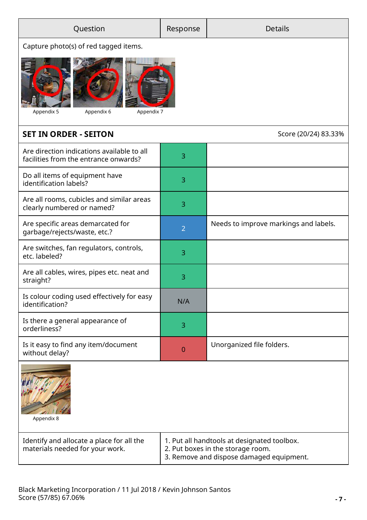| Question                                                                            | Response                                                                                                                     | <b>Details</b>                        |  |  |  |
|-------------------------------------------------------------------------------------|------------------------------------------------------------------------------------------------------------------------------|---------------------------------------|--|--|--|
| Capture photo(s) of red tagged items.                                               |                                                                                                                              |                                       |  |  |  |
| Appendix 7<br>Appendix 5<br>Appendix 6                                              |                                                                                                                              |                                       |  |  |  |
| <b>SET IN ORDER - SEITON</b>                                                        |                                                                                                                              | Score (20/24) 83.33%                  |  |  |  |
| Are direction indications available to all<br>facilities from the entrance onwards? | 3                                                                                                                            |                                       |  |  |  |
| Do all items of equipment have<br>identification labels?                            | 3                                                                                                                            |                                       |  |  |  |
| Are all rooms, cubicles and similar areas<br>clearly numbered or named?             | 3                                                                                                                            |                                       |  |  |  |
| Are specific areas demarcated for<br>garbage/rejects/waste, etc.?                   | $\overline{2}$                                                                                                               | Needs to improve markings and labels. |  |  |  |
| Are switches, fan regulators, controls,<br>etc. labeled?                            | 3                                                                                                                            |                                       |  |  |  |
| Are all cables, wires, pipes etc. neat and<br>straight?                             | 3                                                                                                                            |                                       |  |  |  |
| Is colour coding used effectively for easy<br>identification?                       | N/A                                                                                                                          |                                       |  |  |  |
| Is there a general appearance of<br>orderliness?                                    | 3                                                                                                                            |                                       |  |  |  |
| Is it easy to find any item/document<br>without delay?                              | $\overline{0}$                                                                                                               | Unorganized file folders.             |  |  |  |
| Appendix 8                                                                          |                                                                                                                              |                                       |  |  |  |
| Identify and allocate a place for all the<br>materials needed for your work.        | 1. Put all handtools at designated toolbox.<br>2. Put boxes in the storage room.<br>3. Remove and dispose damaged equipment. |                                       |  |  |  |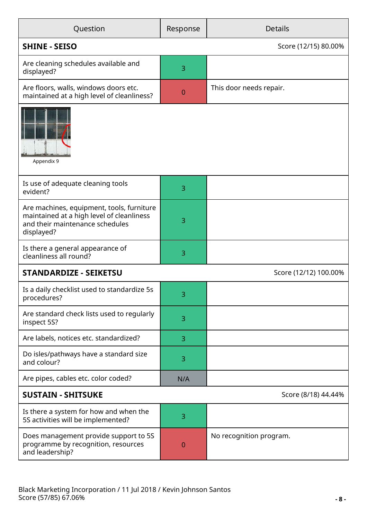| Question                                                                                                                                | Response    |                         |  |
|-----------------------------------------------------------------------------------------------------------------------------------------|-------------|-------------------------|--|
| <b>SHINE - SEISO</b>                                                                                                                    |             | Score (12/15) 80.00%    |  |
| Are cleaning schedules available and<br>displayed?                                                                                      | 3           |                         |  |
| Are floors, walls, windows doors etc.<br>maintained at a high level of cleanliness?                                                     | $\mathbf 0$ | This door needs repair. |  |
| Appendix 9                                                                                                                              |             |                         |  |
| Is use of adequate cleaning tools<br>evident?                                                                                           | 3           |                         |  |
| Are machines, equipment, tools, furniture<br>maintained at a high level of cleanliness<br>and their maintenance schedules<br>displayed? | 3           |                         |  |
| Is there a general appearance of<br>cleanliness all round?                                                                              | 3           |                         |  |
| <b>STANDARDIZE - SEIKETSU</b>                                                                                                           |             | Score (12/12) 100.00%   |  |
| Is a daily checklist used to standardize 5s<br>procedures?                                                                              | 3           |                         |  |
| Are standard check lists used to regularly<br>inspect 5S?                                                                               | 3           |                         |  |
| Are labels, notices etc. standardized?                                                                                                  | 3           |                         |  |
| Do isles/pathways have a standard size<br>and colour?                                                                                   | 3           |                         |  |
| Are pipes, cables etc. color coded?                                                                                                     | N/A         |                         |  |
| <b>SUSTAIN - SHITSUKE</b><br>Score (8/18) 44.44%                                                                                        |             |                         |  |
| Is there a system for how and when the<br>5S activities will be implemented?                                                            | 3           |                         |  |
| Does management provide support to 5S<br>programme by recognition, resources<br>and leadership?                                         | 0           | No recognition program. |  |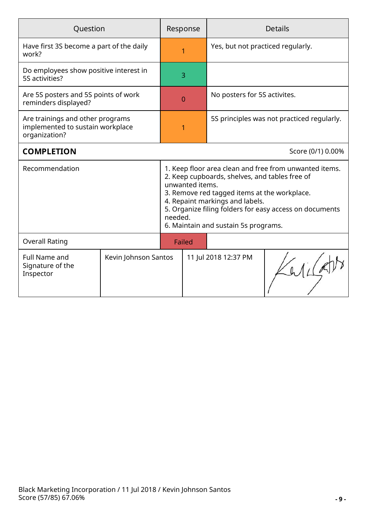| Question                                                                              |                      |                                                                                                                                                                                                                                                                                                                   | Response |                                            | <b>Details</b>    |
|---------------------------------------------------------------------------------------|----------------------|-------------------------------------------------------------------------------------------------------------------------------------------------------------------------------------------------------------------------------------------------------------------------------------------------------------------|----------|--------------------------------------------|-------------------|
| Have first 3S become a part of the daily<br>work?                                     |                      |                                                                                                                                                                                                                                                                                                                   |          | Yes, but not practiced regularly.          |                   |
| Do employees show positive interest in<br>5S activities?                              |                      |                                                                                                                                                                                                                                                                                                                   | 3        |                                            |                   |
| Are 5S posters and 5S points of work<br>reminders displayed?                          |                      |                                                                                                                                                                                                                                                                                                                   | $\Omega$ | No posters for 5S activites.               |                   |
| Are trainings and other programs<br>implemented to sustain workplace<br>organization? |                      |                                                                                                                                                                                                                                                                                                                   | 1        | 5S principles was not practiced regularly. |                   |
| <b>COMPLETION</b>                                                                     |                      |                                                                                                                                                                                                                                                                                                                   |          |                                            | Score (0/1) 0.00% |
| Recommendation<br>needed.                                                             |                      | 1. Keep floor area clean and free from unwanted items.<br>2. Keep cupboards, shelves, and tables free of<br>unwanted items.<br>3. Remove red tagged items at the workplace.<br>4. Repaint markings and labels.<br>5. Organize filing folders for easy access on documents<br>6. Maintain and sustain 5s programs. |          |                                            |                   |
| <b>Overall Rating</b>                                                                 |                      | Failed                                                                                                                                                                                                                                                                                                            |          |                                            |                   |
| <b>Full Name and</b><br>Signature of the<br>Inspector                                 | Kevin Johnson Santos |                                                                                                                                                                                                                                                                                                                   |          | 11 Jul 2018 12:37 PM                       |                   |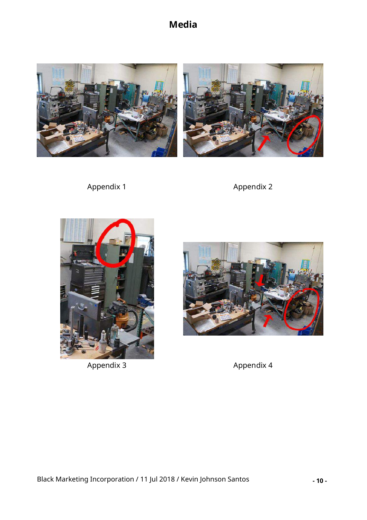### **Media**



Appendix 1 Appendix 2





Appendix 3 Appendix 4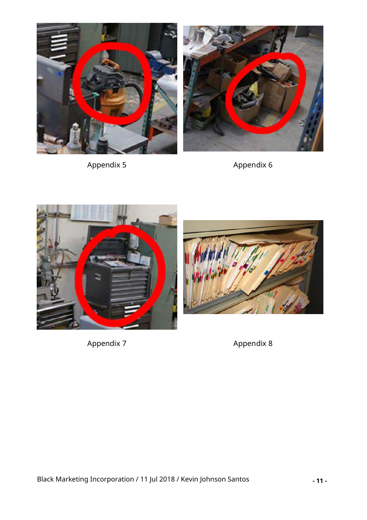



Appendix 5 Appendix 6





Appendix 7 Appendix 8